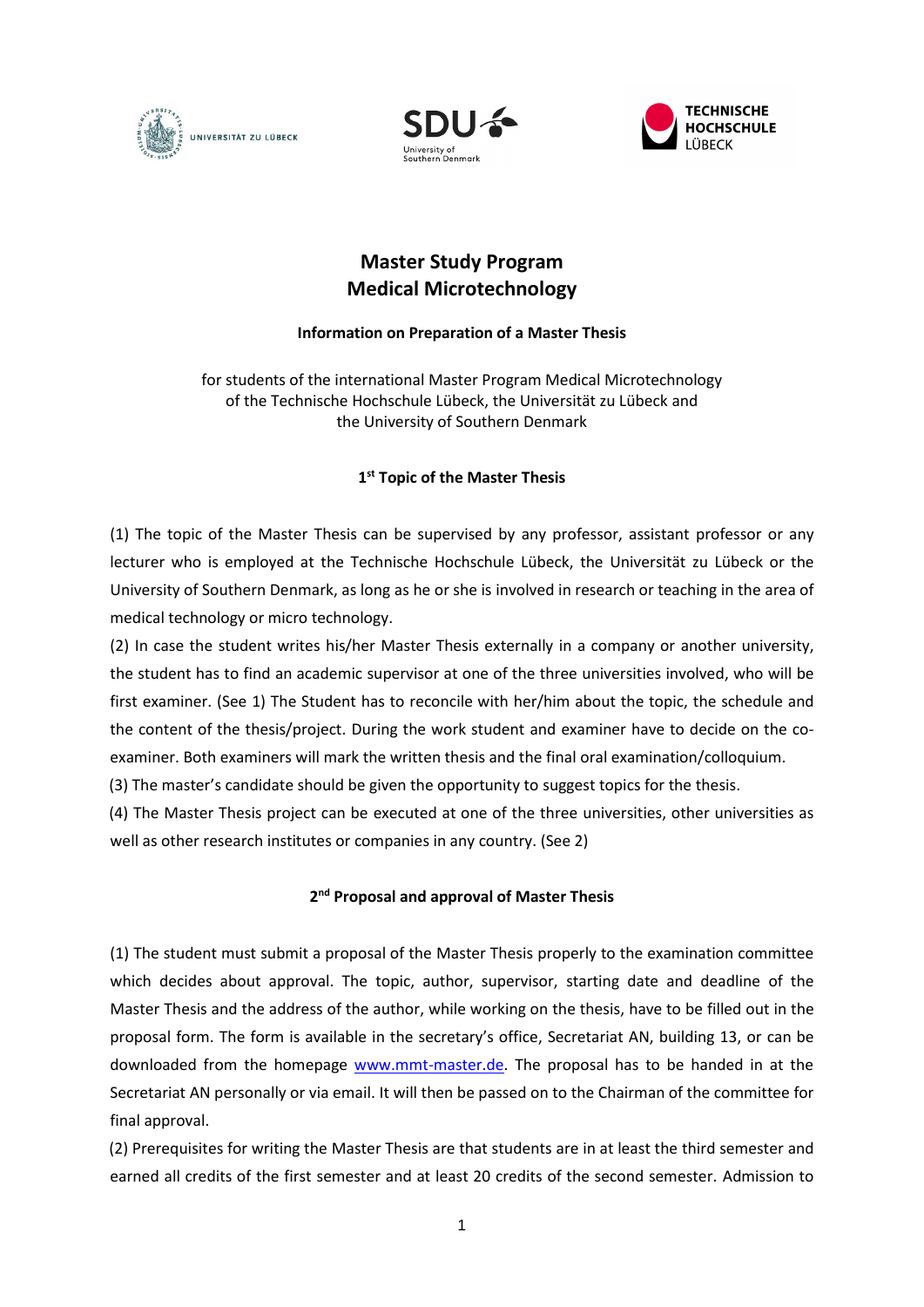





# **Master Study Program Medical Microtechnology**

## **Information on Preparation of a Master Thesis**

for students of the international Master Program Medical Microtechnology of the Technische Hochschule Lübeck, the Universität zu Lübeck and the University of Southern Denmark

# **1 st Topic of the Master Thesis**

(1) The topic of the Master Thesis can be supervised by any professor, assistant professor or any lecturer who is employed at the Technische Hochschule Lübeck, the Universität zu Lübeck or the University of Southern Denmark, as long as he or she is involved in research or teaching in the area of medical technology or micro technology.

(2) In case the student writes his/her Master Thesis externally in a company or another university, the student has to find an academic supervisor at one of the three universities involved, who will be first examiner. (See 1) The Student has to reconcile with her/him about the topic, the schedule and the content of the thesis/project. During the work student and examiner have to decide on the coexaminer. Both examiners will mark the written thesis and the final oral examination/colloquium.

(3) The master's candidate should be given the opportunity to suggest topics for the thesis.

(4) The Master Thesis project can be executed at one of the three universities, other universities as well as other research institutes or companies in any country. (See 2)

# **2 nd Proposal and approval of Master Thesis**

(1) The student must submit a proposal of the Master Thesis properly to the examination committee which decides about approval. The topic, author, supervisor, starting date and deadline of the Master Thesis and the address of the author, while working on the thesis, have to be filled out in the proposal form. The form is available in the secretary's office, Secretariat AN, building 13, or can be downloaded from the homepage [www.mmt-master.de.](http://www.mmt-master.de/) The proposal has to be handed in at the Secretariat AN personally or via email. It will then be passed on to the Chairman of the committee for final approval.

(2) Prerequisites for writing the Master Thesis are that students are in at least the third semester and earned all credits of the first semester and at least 20 credits of the second semester. Admission to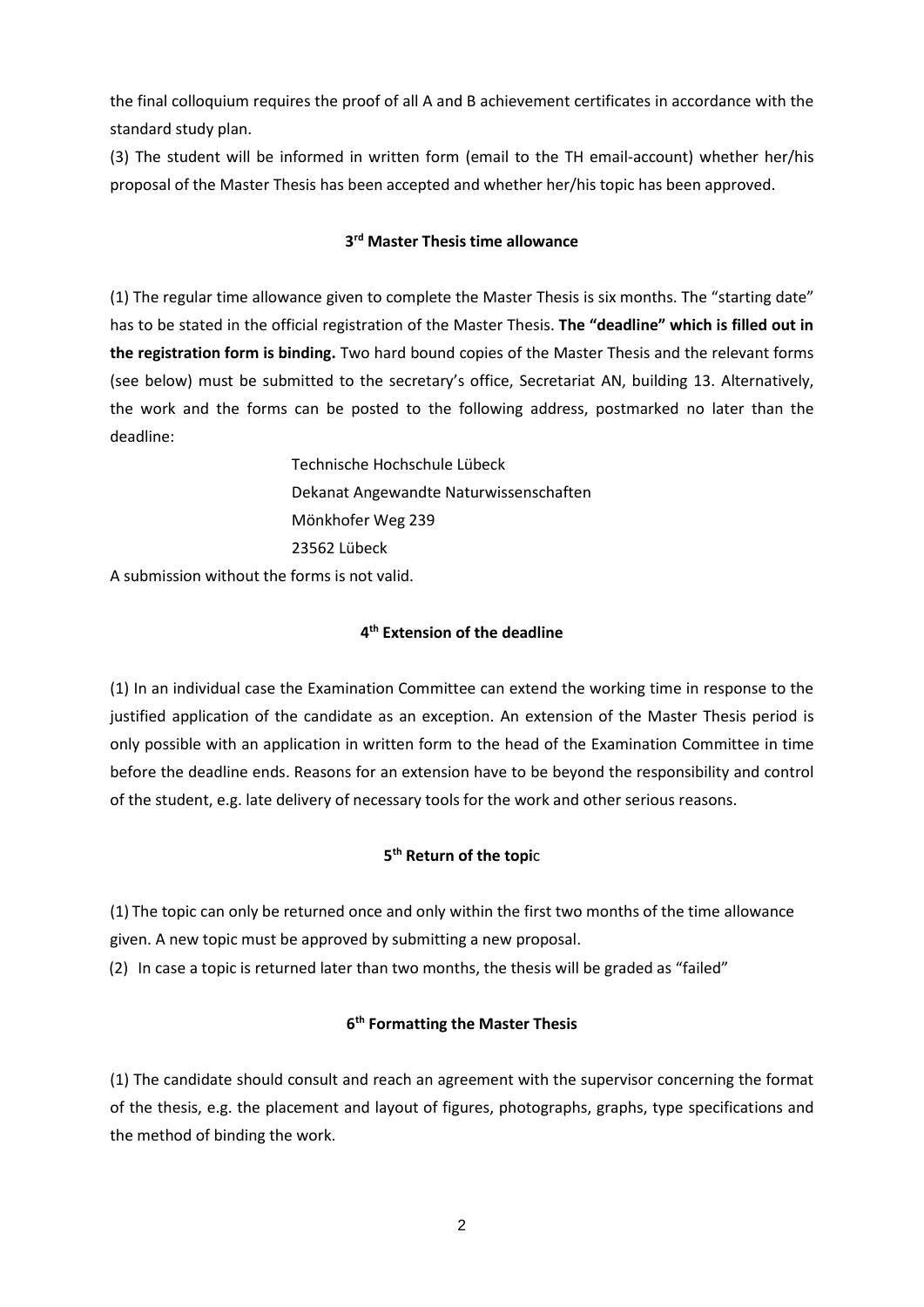the final colloquium requires the proof of all A and B achievement certificates in accordance with the standard study plan.

(3) The student will be informed in written form (email to the TH email-account) whether her/his proposal of the Master Thesis has been accepted and whether her/his topic has been approved.

# **3 rd Master Thesis time allowance**

(1) The regular time allowance given to complete the Master Thesis is six months. The "starting date" has to be stated in the official registration of the Master Thesis. **The "deadline" which is filled out in the registration form is binding.** Two hard bound copies of the Master Thesis and the relevant forms (see below) must be submitted to the secretary's office, Secretariat AN, building 13. Alternatively, the work and the forms can be posted to the following address, postmarked no later than the deadline:

> Technische Hochschule Lübeck Dekanat Angewandte Naturwissenschaften Mönkhofer Weg 239 23562 Lübeck

A submission without the forms is not valid.

# **4 th Extension of the deadline**

(1) In an individual case the Examination Committee can extend the working time in response to the justified application of the candidate as an exception. An extension of the Master Thesis period is only possible with an application in written form to the head of the Examination Committee in time before the deadline ends. Reasons for an extension have to be beyond the responsibility and control of the student, e.g. late delivery of necessary tools for the work and other serious reasons.

# **5 th Return of the topi**c

(1) The topic can only be returned once and only within the first two months of the time allowance given. A new topic must be approved by submitting a new proposal.

(2) In case a topic is returned later than two months, the thesis will be graded as "failed"

# **6 th Formatting the Master Thesis**

(1) The candidate should consult and reach an agreement with the supervisor concerning the format of the thesis, e.g. the placement and layout of figures, photographs, graphs, type specifications and the method of binding the work.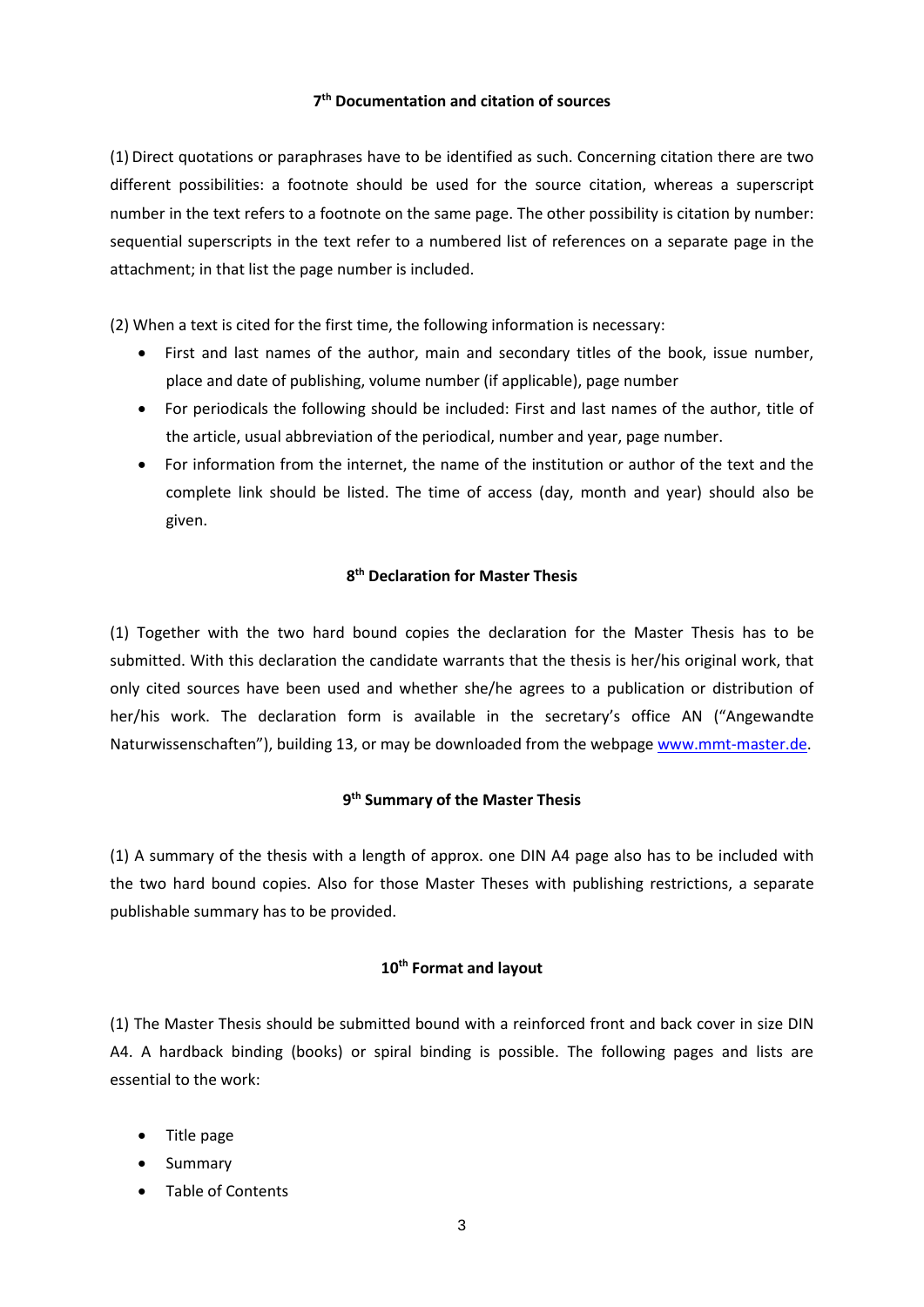## **7 th Documentation and citation of sources**

(1) Direct quotations or paraphrases have to be identified as such. Concerning citation there are two different possibilities: a footnote should be used for the source citation, whereas a superscript number in the text refers to a footnote on the same page. The other possibility is citation by number: sequential superscripts in the text refer to a numbered list of references on a separate page in the attachment; in that list the page number is included.

(2) When a text is cited for the first time, the following information is necessary:

- First and last names of the author, main and secondary titles of the book, issue number, place and date of publishing, volume number (if applicable), page number
- For periodicals the following should be included: First and last names of the author, title of the article, usual abbreviation of the periodical, number and year, page number.
- For information from the internet, the name of the institution or author of the text and the complete link should be listed. The time of access (day, month and year) should also be given.

## **8 th Declaration for Master Thesis**

(1) Together with the two hard bound copies the declaration for the Master Thesis has to be submitted. With this declaration the candidate warrants that the thesis is her/his original work, that only cited sources have been used and whether she/he agrees to a publication or distribution of her/his work. The declaration form is available in the secretary's office AN ("Angewandte Naturwissenschaften"), building 13, or may be downloaded from the webpag[e www.mmt-master.de.](http://www.mmt-master.de/)

## **9 th Summary of the Master Thesis**

(1) A summary of the thesis with a length of approx. one DIN A4 page also has to be included with the two hard bound copies. Also for those Master Theses with publishing restrictions, a separate publishable summary has to be provided.

#### **10th Format and layout**

(1) The Master Thesis should be submitted bound with a reinforced front and back cover in size DIN A4. A hardback binding (books) or spiral binding is possible. The following pages and lists are essential to the work:

- Title page
- Summary
- Table of Contents